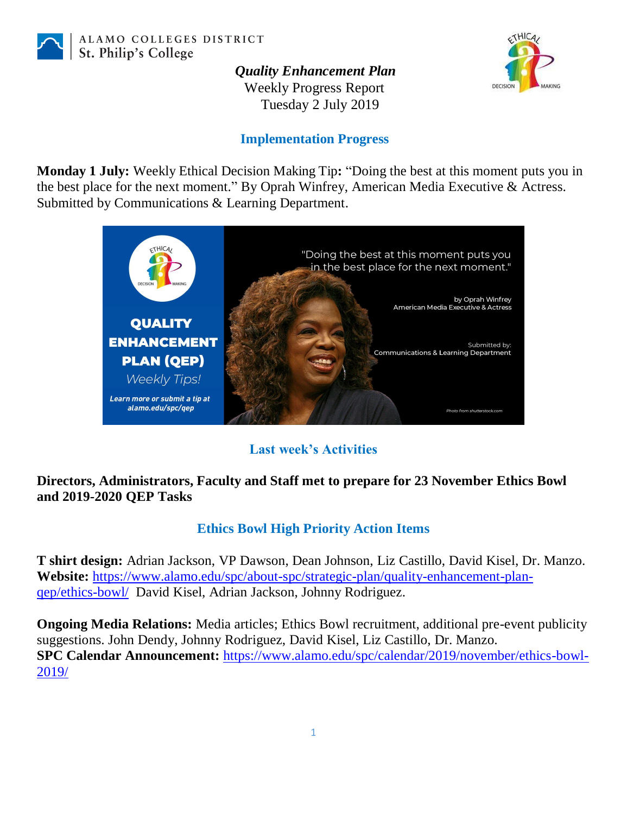

ALAMO COLLEGES DISTRICT St. Philip's College

*Quality Enhancement Plan*



Weekly Progress Report Tuesday 2 July 2019

### **Implementation Progress**

**Monday 1 July:** Weekly Ethical Decision Making Tip**:** "Doing the best at this moment puts you in the best place for the next moment." By Oprah Winfrey, American Media Executive & Actress. Submitted by Communications & Learning Department.



# **Last week's Activities**

### **Directors, Administrators, Faculty and Staff met to prepare for 23 November Ethics Bowl and 2019-2020 QEP Tasks**

# **Ethics Bowl High Priority Action Items**

**T shirt design:** Adrian Jackson, VP Dawson, Dean Johnson, Liz Castillo, David Kisel, Dr. Manzo. **Website:** [https://www.alamo.edu/spc/about-spc/strategic-plan/quality-enhancement-plan](https://www.alamo.edu/spc/about-spc/strategic-plan/quality-enhancement-plan-qep/ethics-bowl/)[qep/ethics-bowl/](https://www.alamo.edu/spc/about-spc/strategic-plan/quality-enhancement-plan-qep/ethics-bowl/) David Kisel, Adrian Jackson, Johnny Rodriguez.

**Ongoing Media Relations:** Media articles; Ethics Bowl recruitment, additional pre-event publicity suggestions. John Dendy, Johnny Rodriguez, David Kisel, Liz Castillo, Dr. Manzo. **SPC Calendar Announcement:** [https://www.alamo.edu/spc/calendar/2019/november/ethics-bowl-](https://www.alamo.edu/spc/calendar/2019/november/ethics-bowl-2019/)[2019/](https://www.alamo.edu/spc/calendar/2019/november/ethics-bowl-2019/)